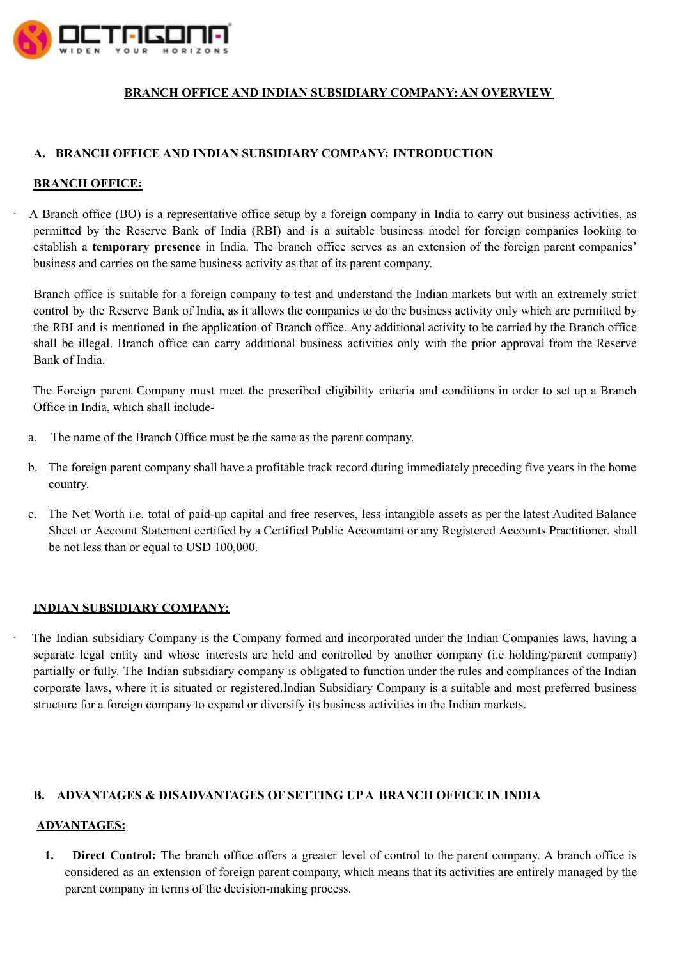

## **BRANCH OFFICE AND INDIAN SUBSIDIARY COMPANY: AN OVERVIEW**

## **A. BRANCH OFFICE AND INDIAN SUBSIDIARY COMPANY: INTRODUCTION**

### **BRANCH OFFICE:**

· A Branch office (BO) is a representative office setup by a foreign company in India to carry out business activities, as permitted by the Reserve Bank of India (RBI) and is a suitable business model for foreign companies looking to establish a **temporary presence** in India. The branch office serves as an extension of the foreign parent companies' business and carries on the same business activity as that of its parent company.

Branch office is suitable for a foreign company to test and understand the Indian markets but with an extremely strict control by the Reserve Bank of India, as it allows the companies to do the business activity only which are permitted by the RBI and is mentioned in the application of Branch office. Any additional activity to be carried by the Branch office shall be illegal. Branch office can carry additional business activities only with the prior approval from the Reserve Bank of India.

The Foreign parent Company must meet the prescribed eligibility criteria and conditions in order to set up a Branch Office in India, which shall include-

- a. The name of the Branch Office must be the same as the parent company.
- b. The foreign parent company shall have a profitable track record during immediately preceding five years in the home country.
- c. The Net Worth i.e. total of paid-up capital and free reserves, less intangible assets as per the latest Audited Balance Sheet or Account Statement certified by a Certified Public Accountant or any Registered Accounts Practitioner, shall be not less than or equal to USD 100,000.

### **INDIAN SUBSIDIARY COMPANY:**

The Indian subsidiary Company is the Company formed and incorporated under the Indian Companies laws, having a separate legal entity and whose interests are held and controlled by another company (i.e holding/parent company) partially or fully. The Indian subsidiary company is obligated to function under the rules and compliances of the Indian corporate laws, where it is situated or registered.Indian Subsidiary Company is a suitable and most preferred business structure for a foreign company to expand or diversify its business activities in the Indian markets.

# **B. ADVANTAGES & DISADVANTAGES OF SETTING UPA BRANCH OFFICE IN INDIA**

### **ADVANTAGES:**

**1. Direct Control:** The branch office offers a greater level of control to the parent company. A branch office is considered as an extension of foreign parent company, which means that its activities are entirely managed by the parent company in terms of the decision-making process.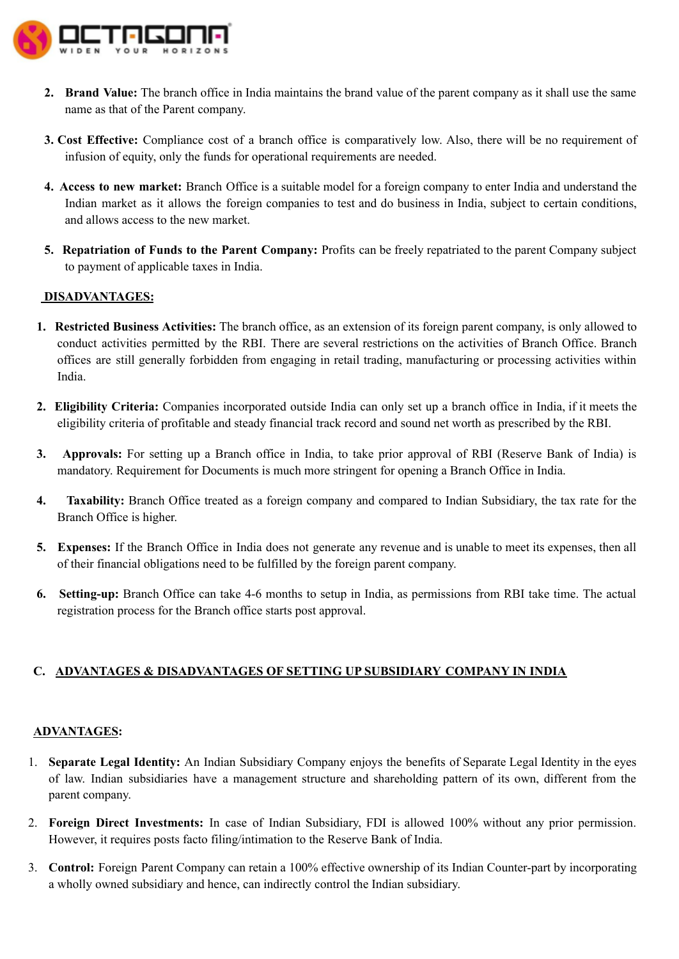

- **2. Brand Value:** The branch office in India maintains the brand value of the parent company as it shall use the same name as that of the Parent company.
- **3. Cost Effective:** Compliance cost of a branch office is comparatively low. Also, there will be no requirement of infusion of equity, only the funds for operational requirements are needed.
- **4. Access to new market:** Branch Office is a suitable model for a foreign company to enter India and understand the Indian market as it allows the foreign companies to test and do business in India, subject to certain conditions, and allows access to the new market.
- **5. Repatriation of Funds to the Parent Company:** Profits can be freely repatriated to the parent Company subject to payment of applicable taxes in India.

## **DISADVANTAGES:**

- **1. Restricted Business Activities:** The branch office, as an extension of its foreign parent company, is only allowed to conduct activities permitted by the RBI. There are several restrictions on the activities of Branch Office. Branch offices are still generally forbidden from engaging in retail trading, manufacturing or processing activities within India.
- **2. Eligibility Criteria:** Companies incorporated outside India can only set up a branch office in India, if it meets the eligibility criteria of profitable and steady financial track record and sound net worth as prescribed by the RBI.
- **3. Approvals:** For setting up a Branch office in India, to take prior approval of RBI (Reserve Bank of India) is mandatory. Requirement for Documents is much more stringent for opening a Branch Office in India.
- **4. Taxability:** Branch Office treated as a foreign company and compared to Indian Subsidiary, the tax rate for the Branch Office is higher.
- **5. Expenses:** If the Branch Office in India does not generate any revenue and is unable to meet its expenses, then all of their financial obligations need to be fulfilled by the foreign parent company.
- **6. Setting-up:** Branch Office can take 4-6 months to setup in India, as permissions from RBI take time. The actual registration process for the Branch office starts post approval.

## **C. ADVANTAGES & DISADVANTAGES OF SETTING UP SUBSIDIARY COMPANY IN INDIA**

### **ADVANTAGES:**

- 1. **Separate Legal Identity:** An Indian Subsidiary Company enjoys the benefits of Separate Legal Identity in the eyes of law. Indian subsidiaries have a management structure and shareholding pattern of its own, different from the parent company.
- 2. **Foreign Direct Investments:** In case of Indian Subsidiary, FDI is allowed 100% without any prior permission. However, it requires posts facto filing/intimation to the Reserve Bank of India.
- 3. **Control:** Foreign Parent Company can retain a 100% effective ownership of its Indian Counter-part by incorporating a wholly owned subsidiary and hence, can indirectly control the Indian subsidiary.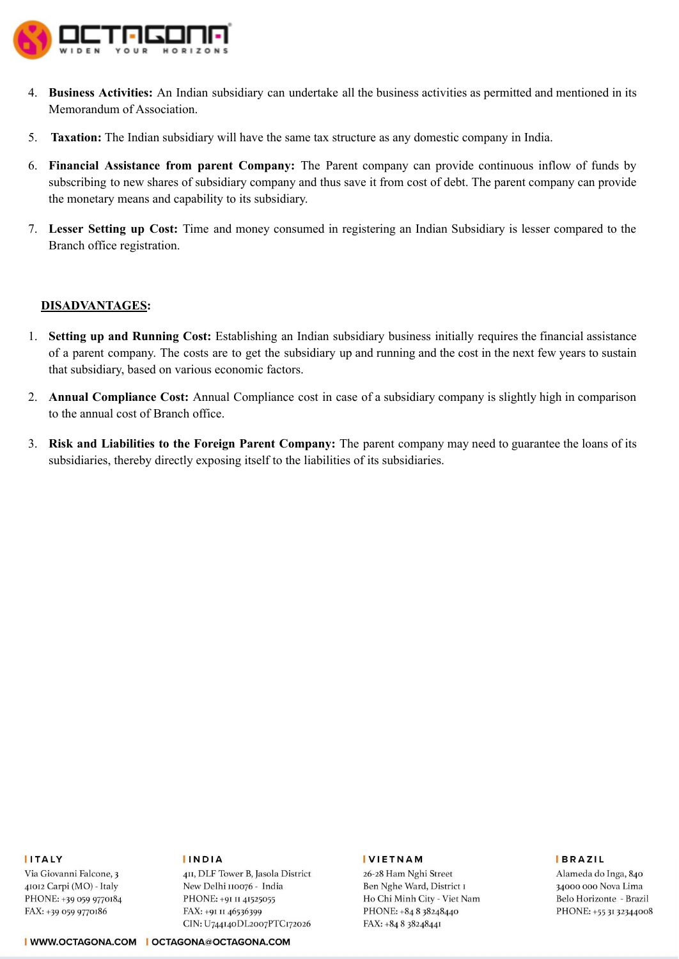

- 4. **Business Activities:** An Indian subsidiary can undertake all the business activities as permitted and mentioned in its Memorandum of Association.
- 5. **Taxation:** The Indian subsidiary will have the same tax structure as any domestic company in India.
- 6. **Financial Assistance from parent Company:** The Parent company can provide continuous inflow of funds by subscribing to new shares of subsidiary company and thus save it from cost of debt. The parent company can provide the monetary means and capability to its subsidiary.
- 7. **Lesser Setting up Cost:** Time and money consumed in registering an Indian Subsidiary is lesser compared to the Branch office registration.

### **DISADVANTAGES:**

- 1. **Setting up and Running Cost:** Establishing an Indian subsidiary business initially requires the financial assistance of a parent company. The costs are to get the subsidiary up and running and the cost in the next few years to sustain that subsidiary, based on various economic factors.
- 2. **Annual Compliance Cost:** Annual Compliance cost in case of a subsidiary company is slightly high in comparison to the annual cost of Branch office.
- 3. **Risk and Liabilities to the Foreign Parent Company:** The parent company may need to guarantee the loans of its subsidiaries, thereby directly exposing itself to the liabilities of its subsidiaries.

#### **IITALY**

Via Giovanni Falcone, 3 41012 Carpi (MO) - Italy PHONE: +39 059 9770184 FAX: +39 059 9770186

#### **IINDIA**

4II, DLF Tower B, Jasola District New Delhi 110076 - India PHONE: +91 II 41525055 FAX: +91 II 46536399 CIN: U744140DL2007PTC172026

#### **IVIETNAM**

26-28 Ham Nghi Street Ben Nghe Ward, District I Ho Chi Minh City - Viet Nam PHONE: +84 8 38248440 FAX: +84 8 38248441

#### **BRAZIL**

Alameda do Inga, 840 34000 000 Nova Lima Belo Horizonte - Brazil PHONE: +55 31 32344008

I WWW.OCTAGONA.COM | OCTAGONA@OCTAGONA.COM